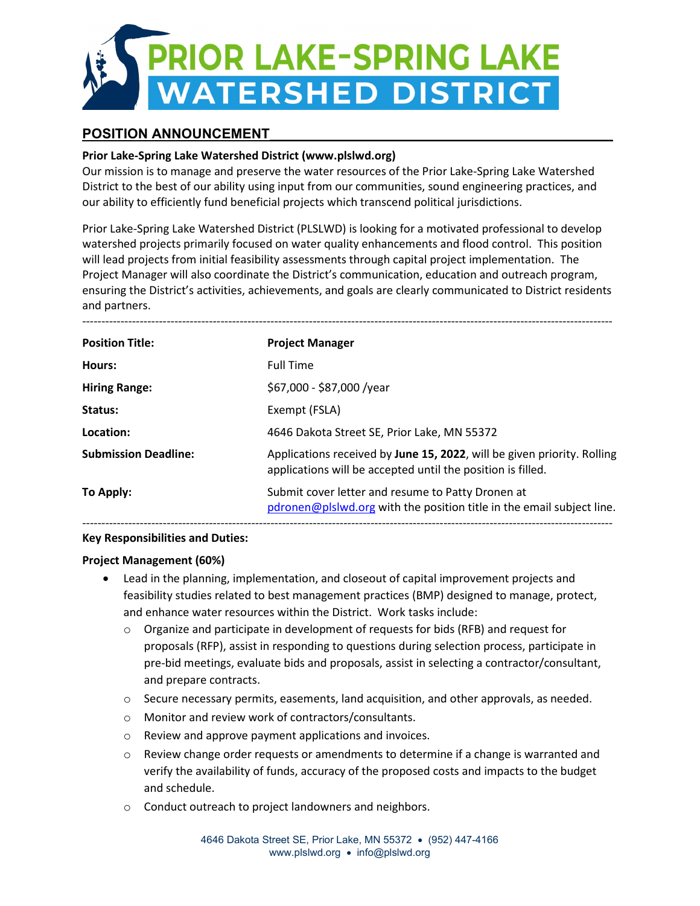

# POSITION ANNOUNCEMENT

### **Prior Lake-Spring Lake Watershed District (www.plslwd.org)**

Our mission is to manage and preserve the water resources of the Prior Lake-Spring Lake Watershed District to the best of our ability using input from our communities, sound engineering practices, and our ability to efficiently fund beneficial projects which transcend political jurisdictions.

Prior Lake-Spring Lake Watershed District (PLSLWD) is looking for a motivated professional to develop watershed projects primarily focused on water quality enhancements and flood control. This position will lead projects from initial feasibility assessments through capital project implementation. The Project Manager will also coordinate the District's communication, education and outreach program, ensuring the District's activities, achievements, and goals are clearly communicated to District residents and partners.

| <b>Position Title:</b>      | <b>Project Manager</b>                                                                                                                 |
|-----------------------------|----------------------------------------------------------------------------------------------------------------------------------------|
| Hours:                      | <b>Full Time</b>                                                                                                                       |
| <b>Hiring Range:</b>        | \$67,000 - \$87,000 /year                                                                                                              |
| Status:                     | Exempt (FSLA)                                                                                                                          |
| Location:                   | 4646 Dakota Street SE, Prior Lake, MN 55372                                                                                            |
| <b>Submission Deadline:</b> | Applications received by June 15, 2022, will be given priority. Rolling<br>applications will be accepted until the position is filled. |
| To Apply:                   | Submit cover letter and resume to Patty Dronen at<br>pdronen@plslwd.org with the position title in the email subject line.             |
|                             |                                                                                                                                        |

#### **Key Responsibilities and Duties:**

#### **Project Management (60%)**

- Lead in the planning, implementation, and closeout of capital improvement projects and feasibility studies related to best management practices (BMP) designed to manage, protect, and enhance water resources within the District. Work tasks include:
	- $\circ$  Organize and participate in development of requests for bids (RFB) and request for proposals (RFP), assist in responding to questions during selection process, participate in pre-bid meetings, evaluate bids and proposals, assist in selecting a contractor/consultant, and prepare contracts.
	- o Secure necessary permits, easements, land acquisition, and other approvals, as needed.
	- o Monitor and review work of contractors/consultants.
	- o Review and approve payment applications and invoices.
	- $\circ$  Review change order requests or amendments to determine if a change is warranted and verify the availability of funds, accuracy of the proposed costs and impacts to the budget and schedule.
	- o Conduct outreach to project landowners and neighbors.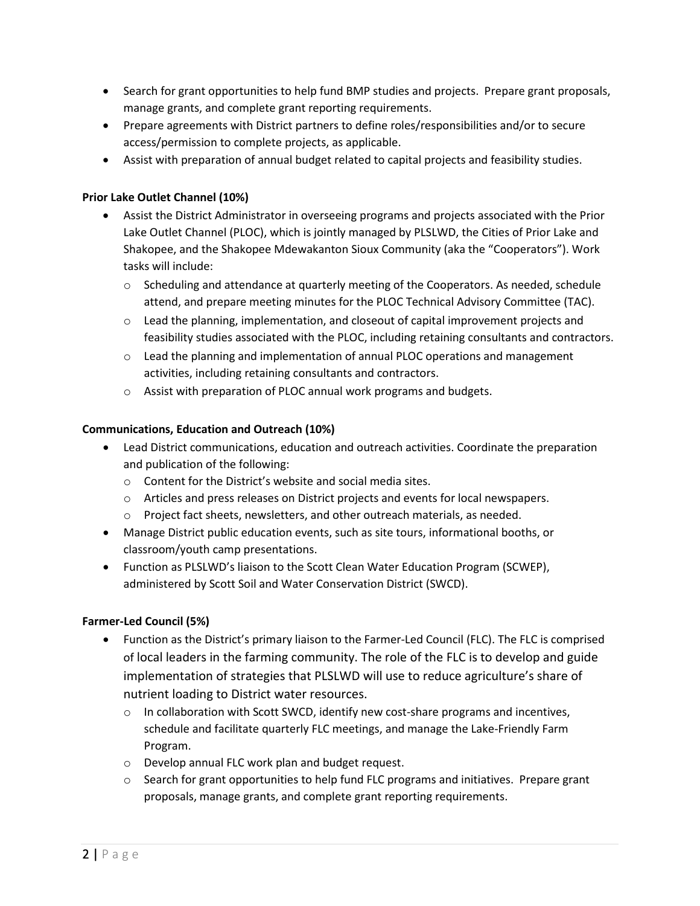- Search for grant opportunities to help fund BMP studies and projects. Prepare grant proposals, manage grants, and complete grant reporting requirements.
- Prepare agreements with District partners to define roles/responsibilities and/or to secure access/permission to complete projects, as applicable.
- Assist with preparation of annual budget related to capital projects and feasibility studies.

## **Prior Lake Outlet Channel (10%)**

- Assist the District Administrator in overseeing programs and projects associated with the Prior Lake Outlet Channel (PLOC), which is jointly managed by PLSLWD, the Cities of Prior Lake and Shakopee, and the Shakopee Mdewakanton Sioux Community (aka the "Cooperators"). Work tasks will include:
	- o Scheduling and attendance at quarterly meeting of the Cooperators. As needed, schedule attend, and prepare meeting minutes for the PLOC Technical Advisory Committee (TAC).
	- o Lead the planning, implementation, and closeout of capital improvement projects and feasibility studies associated with the PLOC, including retaining consultants and contractors.
	- $\circ$  Lead the planning and implementation of annual PLOC operations and management activities, including retaining consultants and contractors.
	- o Assist with preparation of PLOC annual work programs and budgets.

### **Communications, Education and Outreach (10%)**

- Lead District communications, education and outreach activities. Coordinate the preparation and publication of the following:
	- o Content for the District's website and social media sites.
	- o Articles and press releases on District projects and events for local newspapers.
	- o Project fact sheets, newsletters, and other outreach materials, as needed.
- Manage District public education events, such as site tours, informational booths, or classroom/youth camp presentations.
- Function as PLSLWD's liaison to the Scott Clean Water Education Program (SCWEP), administered by Scott Soil and Water Conservation District (SWCD).

#### **Farmer-Led Council (5%)**

- Function as the District's primary liaison to the Farmer-Led Council (FLC). The FLC is comprised of local leaders in the farming community. The role of the FLC is to develop and guide implementation of strategies that PLSLWD will use to reduce agriculture's share of nutrient loading to District water resources.
	- $\circ$  In collaboration with Scott SWCD, identify new cost-share programs and incentives, schedule and facilitate quarterly FLC meetings, and manage the Lake-Friendly Farm Program.
	- o Develop annual FLC work plan and budget request.
	- $\circ$  Search for grant opportunities to help fund FLC programs and initiatives. Prepare grant proposals, manage grants, and complete grant reporting requirements.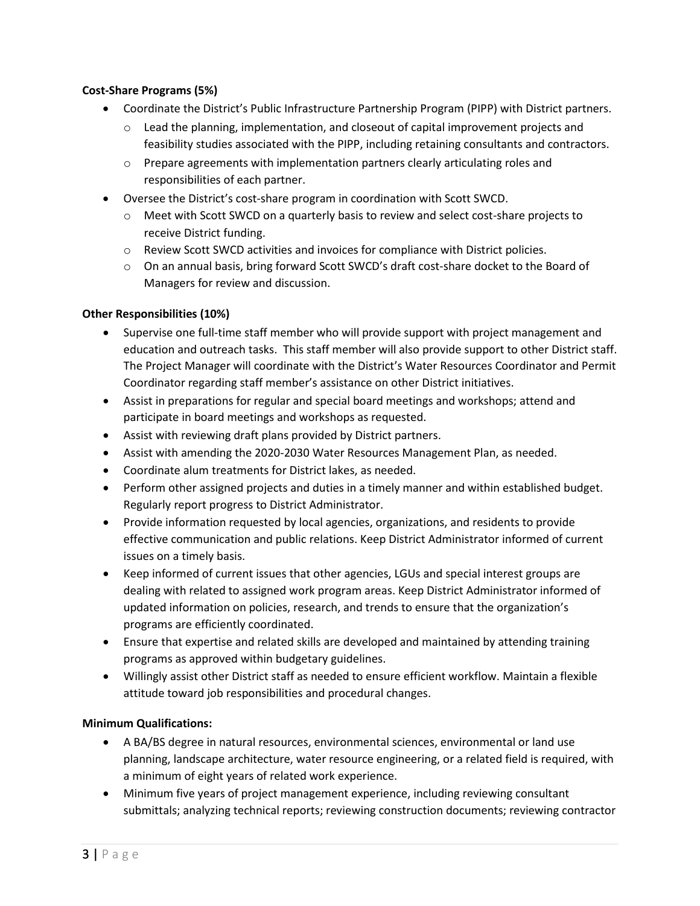### **Cost-Share Programs (5%)**

- Coordinate the District's Public Infrastructure Partnership Program (PIPP) with District partners.
	- $\circ$  Lead the planning, implementation, and closeout of capital improvement projects and feasibility studies associated with the PIPP, including retaining consultants and contractors.
	- o Prepare agreements with implementation partners clearly articulating roles and responsibilities of each partner.
- Oversee the District's cost-share program in coordination with Scott SWCD.
	- $\circ$  Meet with Scott SWCD on a quarterly basis to review and select cost-share projects to receive District funding.
	- o Review Scott SWCD activities and invoices for compliance with District policies.
	- o On an annual basis, bring forward Scott SWCD's draft cost-share docket to the Board of Managers for review and discussion.

## **Other Responsibilities (10%)**

- Supervise one full-time staff member who will provide support with project management and education and outreach tasks. This staff member will also provide support to other District staff. The Project Manager will coordinate with the District's Water Resources Coordinator and Permit Coordinator regarding staff member's assistance on other District initiatives.
- Assist in preparations for regular and special board meetings and workshops; attend and participate in board meetings and workshops as requested.
- Assist with reviewing draft plans provided by District partners.
- Assist with amending the 2020-2030 Water Resources Management Plan, as needed.
- Coordinate alum treatments for District lakes, as needed.
- Perform other assigned projects and duties in a timely manner and within established budget. Regularly report progress to District Administrator.
- Provide information requested by local agencies, organizations, and residents to provide effective communication and public relations. Keep District Administrator informed of current issues on a timely basis.
- Keep informed of current issues that other agencies, LGUs and special interest groups are dealing with related to assigned work program areas. Keep District Administrator informed of updated information on policies, research, and trends to ensure that the organization's programs are efficiently coordinated.
- Ensure that expertise and related skills are developed and maintained by attending training programs as approved within budgetary guidelines.
- Willingly assist other District staff as needed to ensure efficient workflow. Maintain a flexible attitude toward job responsibilities and procedural changes.

## **Minimum Qualifications:**

- A BA/BS degree in natural resources, environmental sciences, environmental or land use planning, landscape architecture, water resource engineering, or a related field is required, with a minimum of eight years of related work experience.
- Minimum five years of project management experience, including reviewing consultant submittals; analyzing technical reports; reviewing construction documents; reviewing contractor